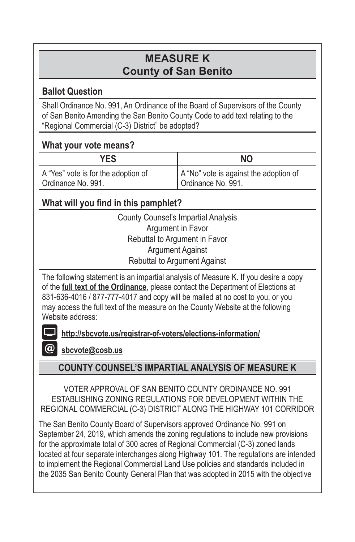# **MEASURE K County of San Benito**

## **Ballot Question**

Shall Ordinance No. 991, An Ordinance of the Board of Supervisors of the County of San Benito Amending the San Benito County Code to add text relating to the "Regional Commercial (C-3) District" be adopted?

## **What your vote means?**

| <b>YES</b>                          | NΟ                                     |
|-------------------------------------|----------------------------------------|
| A "Yes" vote is for the adoption of | A "No" vote is against the adoption of |
| Ordinance No. 991.                  | Ordinance No. 991.                     |

## **What will you find in this pamphlet?**

County Counsel's Impartial Analysis Argument in Favor Rebuttal to Argument in Favor Argument Against Rebuttal to Argument Against

The following statement is an impartial analysis of Measure K. If you desire a copy of the **full text of the Ordinance**, please contact the Department of Elections at 831-636-4016 / 877-777-4017 and copy will be mailed at no cost to you, or you may access the full text of the measure on the County Website at the following Website address:

**http://sbcvote.us/registrar-of-voters/elections-information/**

**sbcvote@cosb.us**

## **COUNTY COUNSEL'S IMPARTIAL ANALYSIS OF MEASURE K**

VOTER APPROVAL OF SAN BENITO COUNTY ORDINANCE NO. 991 ESTABLISHING ZONING REGULATIONS FOR DEVELOPMENT WITHIN THE REGIONAL COMMERCIAL (C-3) DISTRICT ALONG THE HIGHWAY 101 CORRIDOR

The San Benito County Board of Supervisors approved Ordinance No. 991 on September 24, 2019, which amends the zoning regulations to include new provisions for the approximate total of 300 acres of Regional Commercial (C-3) zoned lands located at four separate interchanges along Highway 101. The regulations are intended to implement the Regional Commercial Land Use policies and standards included in the 2035 San Benito County General Plan that was adopted in 2015 with the objective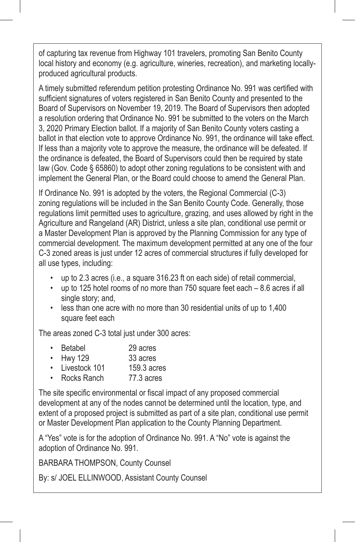of capturing tax revenue from Highway 101 travelers, promoting San Benito County local history and economy (e.g. agriculture, wineries, recreation), and marketing locallyproduced agricultural products.

A timely submitted referendum petition protesting Ordinance No. 991 was certified with sufficient signatures of voters registered in San Benito County and presented to the Board of Supervisors on November 19, 2019. The Board of Supervisors then adopted a resolution ordering that Ordinance No. 991 be submitted to the voters on the March 3, 2020 Primary Election ballot. If a majority of San Benito County voters casting a ballot in that election vote to approve Ordinance No. 991, the ordinance will take effect. If less than a majority vote to approve the measure, the ordinance will be defeated. If the ordinance is defeated, the Board of Supervisors could then be required by state law (Gov. Code § 65860) to adopt other zoning regulations to be consistent with and implement the General Plan, or the Board could choose to amend the General Plan.

If Ordinance No. 991 is adopted by the voters, the Regional Commercial (C-3) zoning regulations will be included in the San Benito County Code. Generally, those regulations limit permitted uses to agriculture, grazing, and uses allowed by right in the Agriculture and Rangeland (AR) District, unless a site plan, conditional use permit or a Master Development Plan is approved by the Planning Commission for any type of commercial development. The maximum development permitted at any one of the four C-3 zoned areas is just under 12 acres of commercial structures if fully developed for all use types, including:

- up to 2.3 acres (i.e., a square 316.23 ft on each side) of retail commercial,
- up to 125 hotel rooms of no more than 750 square feet each 8.6 acres if all single story; and,
- less than one acre with no more than 30 residential units of up to 1,400 square feet each

The areas zoned C-3 total just under 300 acres:

|  | Betabel | 29 acres |
|--|---------|----------|
|--|---------|----------|

- Hwy 129 33 acres
- Livestock 101 159.3 acres
- Rocks Ranch 77.3 acres

The site specific environmental or fiscal impact of any proposed commercial development at any of the nodes cannot be determined until the location, type, and extent of a proposed project is submitted as part of a site plan, conditional use permit or Master Development Plan application to the County Planning Department.

A "Yes" vote is for the adoption of Ordinance No. 991. A "No" vote is against the adoption of Ordinance No. 991.

BARBARA THOMPSON, County Counsel

By: s/ JOEL ELLINWOOD, Assistant County Counsel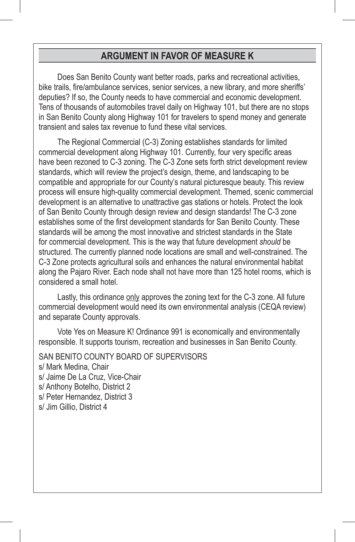## **ARGUMENT IN FAVOR OF MEASURE K**

Does San Benito County want better roads, parks and recreational activities, bike trails, fire/ambulance services, senior services, a new library, and more sheriffs' deputies? If so, the County needs to have commercial and economic development. Tens of thousands of automobiles travel daily on Highway 101, but there are no stops in San Benito County along Highway 101 for travelers to spend money and generate transient and sales tax revenue to fund these vital services.

The Regional Commercial (C-3) Zoning establishes standards for limited commercial development along Highway 101. Currently, four very specific areas have been rezoned to C-3 zoning. The C-3 Zone sets forth strict development review standards, which will review the project's design, theme, and landscaping to be compatible and appropriate for our County's natural picturesque beauty. This review process will ensure high-quality commercial development. Themed, scenic commercial development is an alternative to unattractive gas stations or hotels. Protect the look of San Benito County through design review and design standards! The C-3 zone establishes some of the first development standards for San Benito County. These standards will be among the most innovative and strictest standards in the State for commercial development. This is the way that future development *should* be structured. The currently planned node locations are small and well-constrained. The C-3 Zone protects agricultural soils and enhances the natural environmental habitat along the Pajaro River. Each node shall not have more than 125 hotel rooms, which is considered a small hotel.

Lastly, this ordinance only approves the zoning text for the C-3 zone. All future commercial development would need its own environmental analysis (CEQA review) and separate County approvals.

Vote Yes on Measure K! Ordinance 991 is economically and environmentally responsible. It supports tourism, recreation and businesses in San Benito County.

SAN BENITO COUNTY BOARD OF SUPERVISORS s/ Mark Medina, Chair s/ Jaime De La Cruz, Vice-Chair s/ Anthony Botelho, District 2 s/ Peter Hernandez, District 3 s/ Jim Gillio, District 4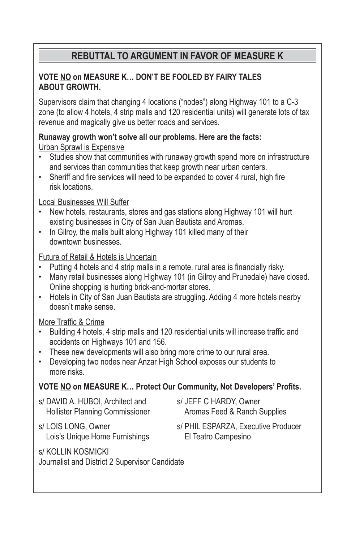# **REBUTTAL TO ARGUMENT IN FAVOR OF MEASURE K**

### **VOTE NO on MEASURE K… DON'T BE FOOLED BY FAIRY TALES ABOUT GROWTH.**

Supervisors claim that changing 4 locations ("nodes") along Highway 101 to a C-3 zone (to allow 4 hotels, 4 strip malls and 120 residential units) will generate lots of tax revenue and magically give us better roads and services.

**Runaway growth won't solve all our problems. Here are the facts:** Urban Sprawl is Expensive

- Studies show that communities with runaway growth spend more on infrastructure and services than communities that keep growth near urban centers.
- Sheriff and fire services will need to be expanded to cover 4 rural, high fire risk locations.

Local Businesses Will Suffer

- New hotels, restaurants, stores and gas stations along Highway 101 will hurt existing businesses in City of San Juan Bautista and Aromas.
- In Gilroy, the malls built along Highway 101 killed many of their downtown businesses.

Future of Retail & Hotels is Uncertain

- Putting 4 hotels and 4 strip malls in a remote, rural area is financially risky.
- Many retail businesses along Highway 101 (in Gilroy and Prunedale) have closed. Online shopping is hurting brick-and-mortar stores.
- Hotels in City of San Juan Bautista are struggling. Adding 4 more hotels nearby doesn't make sense.

### More Traffic & Crime

- Building 4 hotels, 4 strip malls and 120 residential units will increase traffic and accidents on Highways 101 and 156.
- These new developments will also bring more crime to our rural area.
- Developing two nodes near Anzar High School exposes our students to more risks.

### **VOTE NO on MEASURE K… Protect Our Community, Not Developers' Profits.**

- s/ DAVID A. HUBOI, Architect and Hollister Planning Commissioner
- s/ JEFF C HARDY, Owner Aromas Feed & Ranch Supplies
- s/ LOIS LONG, Owner Lois's Unique Home Furnishings
- s/ PHIL ESPARZA, Executive Producer El Teatro Campesino
- s/ KOLLIN KOSMICKI Journalist and District 2 Supervisor Candidate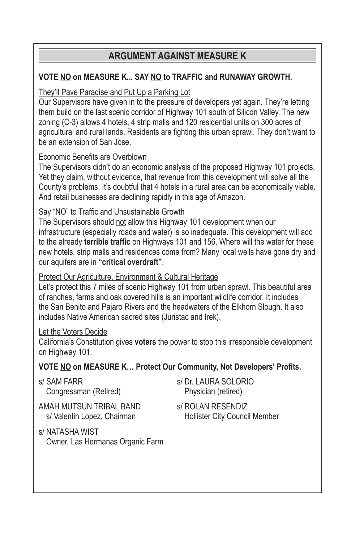# **ARGUMENT AGAINST MEASURE K**

### **VOTE NO on MEASURE K... SAY NO to TRAFFIC and RUNAWAY GROWTH.**

### They'll Pave Paradise and Put Up a Parking Lot

Our Supervisors have given in to the pressure of developers yet again. They're letting them build on the last scenic corridor of Highway 101 south of Silicon Valley. The new zoning (C-3) allows 4 hotels, 4 strip malls and 120 residential units on 300 acres of agricultural and rural lands. Residents are fighting this urban sprawl. They don't want to be an extension of San Jose.

### Economic Benefits are Overblown

The Supervisors didn't do an economic analysis of the proposed Highway 101 projects. Yet they claim, without evidence, that revenue from this development will solve all the County's problems. It's doubtful that 4 hotels in a rural area can be economically viable. And retail businesses are declining rapidly in this age of Amazon.

### Say "NO" to Traffic and Unsustainable Growth

The Supervisors should not allow this Highway 101 development when our infrastructure (especially roads and water) is so inadequate. This development will add to the already **terrible traffic** on Highways 101 and 156. Where will the water for these new hotels, strip malls and residences come from? Many local wells have gone dry and our aquifers are in **"critical overdraft"**.

### Protect Our Agriculture, Environment & Cultural Heritage

Let's protect this 7 miles of scenic Highway 101 from urban sprawl. This beautiful area of ranches, farms and oak covered hills is an important wildlife corridor. It includes the San Benito and Pajaro Rivers and the headwaters of the Elkhorn Slough. It also includes Native American sacred sites (Juristac and Irek).

### Let the Voters Decide

California's Constitution gives **voters** the power to stop this irresponsible development on Highway 101.

### **VOTE NO on MEASURE K… Protect Our Community, Not Developers' Profits.**

s/ SAM FARR Congressman (Retired)

AMAH MUTSUN TRIBAL BAND s/ Valentin Lopez, Chairman

- s/ NATASHA WIST Owner, Las Hermanas Organic Farm
- s/ Dr. LAURA SOLORIO Physician (retired)
- s/ ROLAN RESENDIZ Hollister City Council Member